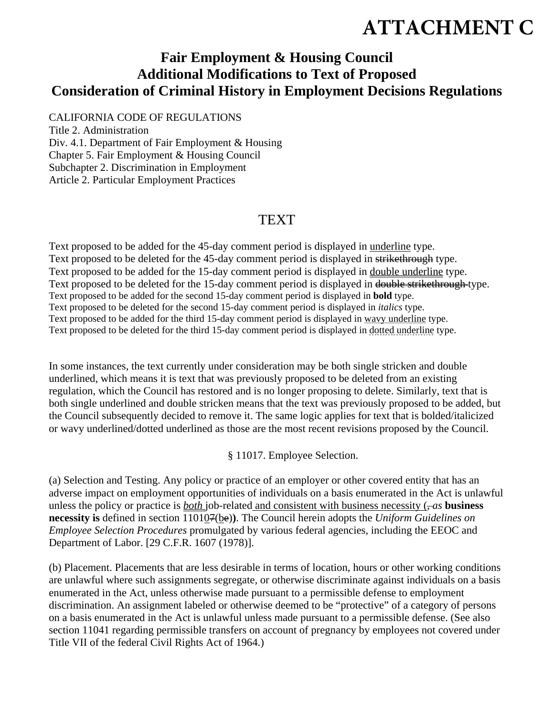## **ATTACHMENT C**

## **Fair Employment & Housing Council Additional Modifications to Text of Proposed Consideration of Criminal History in Employment Decisions Regulations**

CALIFORNIA CODE OF REGULATIONS Title 2. Administration Div. 4.1. Department of Fair Employment & Housing Chapter 5. Fair Employment & Housing Council Subchapter 2. Discrimination in Employment Article 2. Particular Employment Practices

## TEXT

Text proposed to be added for the 45-day comment period is displayed in underline type. Text proposed to be deleted for the 45-day comment period is displayed in strikethrough type. Text proposed to be added for the 15-day comment period is displayed in double underline type. Text proposed to be deleted for the 15-day comment period is displayed in double strikethrough type. Text proposed to be added for the second 15-day comment period is displayed in **bold** type. Text proposed to be deleted for the second 15-day comment period is displayed in *italics* type. Text proposed to be added for the third 15-day comment period is displayed in wavy underline type. Text proposed to be deleted for the third 15-day comment period is displayed in dotted underline type.

In some instances, the text currently under consideration may be both single stricken and double underlined, which means it is text that was previously proposed to be deleted from an existing regulation, which the Council has restored and is no longer proposing to delete. Similarly, text that is both single underlined and double stricken means that the text was previously proposed to be added, but the Council subsequently decided to remove it. The same logic applies for text that is bolded/italicized or wavy underlined/dotted underlined as those are the most recent revisions proposed by the Council.

§ 11017. Employee Selection.

(a) Selection and Testing. Any policy or practice of an employer or other covered entity that has an adverse impact on employment opportunities of individuals on a basis enumerated in the Act is unlawful unless the policy or practice is *both* job-related and consistent with business necessity  $(-as)$  **business necessity is** defined in section 110107(be)**)**. The Council herein adopts the *Uniform Guidelines on Employee Selection Procedures* promulgated by various federal agencies, including the EEOC and Department of Labor. [29 C.F.R. 1607 (1978)].

(b) Placement. Placements that are less desirable in terms of location, hours or other working conditions are unlawful where such assignments segregate, or otherwise discriminate against individuals on a basis enumerated in the Act, unless otherwise made pursuant to a permissible defense to employment discrimination. An assignment labeled or otherwise deemed to be "protective" of a category of persons on a basis enumerated in the Act is unlawful unless made pursuant to a permissible defense. (See also section 11041 regarding permissible transfers on account of pregnancy by employees not covered under Title VII of the federal Civil Rights Act of 1964.)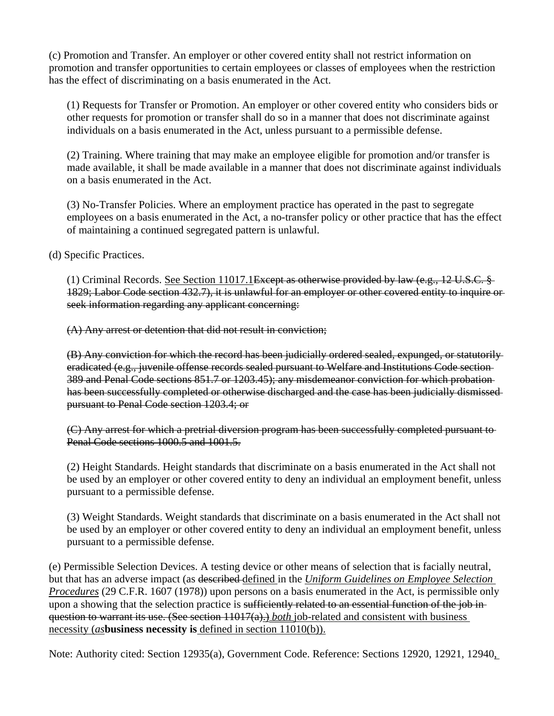(c) Promotion and Transfer. An employer or other covered entity shall not restrict information on promotion and transfer opportunities to certain employees or classes of employees when the restriction has the effect of discriminating on a basis enumerated in the Act.

(1) Requests for Transfer or Promotion. An employer or other covered entity who considers bids or other requests for promotion or transfer shall do so in a manner that does not discriminate against individuals on a basis enumerated in the Act, unless pursuant to a permissible defense.

(2) Training. Where training that may make an employee eligible for promotion and/or transfer is made available, it shall be made available in a manner that does not discriminate against individuals on a basis enumerated in the Act.

(3) No-Transfer Policies. Where an employment practice has operated in the past to segregate employees on a basis enumerated in the Act, a no-transfer policy or other practice that has the effect of maintaining a continued segregated pattern is unlawful.

(d) Specific Practices.

(1) Criminal Records. See Section 11017.1<del>Except as otherwise provided by law (e.g., 12 U.S.C. §</del> 1829; Labor Code section 432.7), it is unlawful for an employer or other covered entity to inquire or seek information regarding any applicant concerning:

(A) Any arrest or detention that did not result in conviction;

(B) Any conviction for which the record has been judicially ordered sealed, expunged, or statutorily eradicated (e.g., juvenile offense records sealed pursuant to Welfare and Institutions Code section 389 and Penal Code sections 851.7 or 1203.45); any misdemeanor conviction for which probation has been successfully completed or otherwise discharged and the case has been judicially dismissed pursuant to Penal Code section 1203.4; or

(C) Any arrest for which a pretrial diversion program has been successfully completed pursuant to Penal Code sections 1000.5 and 1001.5.

(2) Height Standards. Height standards that discriminate on a basis enumerated in the Act shall not be used by an employer or other covered entity to deny an individual an employment benefit, unless pursuant to a permissible defense.

(3) Weight Standards. Weight standards that discriminate on a basis enumerated in the Act shall not be used by an employer or other covered entity to deny an individual an employment benefit, unless pursuant to a permissible defense.

(e) Permissible Selection Devices. A testing device or other means of selection that is facially neutral, but that has an adverse impact (as described defined in the *Uniform Guidelines on Employee Selection Procedures* (29 C.F.R. 1607 (1978)) upon persons on a basis enumerated in the Act, is permissible only upon a showing that the selection practice is sufficiently related to an essential function of the job inquestion to warrant its use. (See section 11017(a).) *both* job-related and consistent with business necessity (*as***business necessity is** defined in section 11010(b)).

Note: Authority cited: Section 12935(a), Government Code. Reference: Sections 12920, 12921, 12940,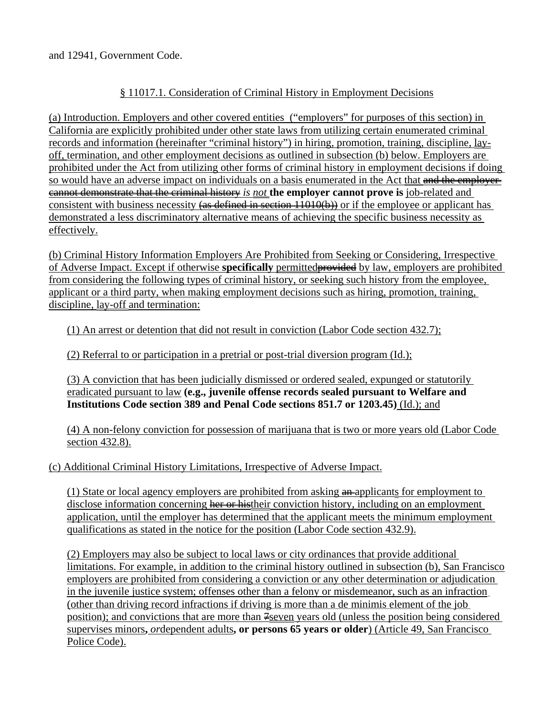and 12941, Government Code.

## § 11017.1. Consideration of Criminal History in Employment Decisions

(a) Introduction. Employers and other covered entities ("employers" for purposes of this section) in California are explicitly prohibited under other state laws from utilizing certain enumerated criminal records and information (hereinafter "criminal history") in hiring, promotion, training, discipline, layoff, termination, and other employment decisions as outlined in subsection (b) below. Employers are prohibited under the Act from utilizing other forms of criminal history in employment decisions if doing so would have an adverse impact on individuals on a basis enumerated in the Act that and the employercannot demonstrate that the criminal history *is not* **the employer cannot prove is** job-related and consistent with business necessity  $\left($ use defined in section 11010 $\left($ b $\right)$ ) or if the employee or applicant has demonstrated a less discriminatory alternative means of achieving the specific business necessity as effectively.

(b) Criminal History Information Employers Are Prohibited from Seeking or Considering, Irrespective of Adverse Impact. Except if otherwise **specifically** permittedprovided by law, employers are prohibited from considering the following types of criminal history, or seeking such history from the employee, applicant or a third party, when making employment decisions such as hiring, promotion, training, discipline, lay-off and termination:

(1) An arrest or detention that did not result in conviction (Labor Code section 432.7);

(2) Referral to or participation in a pretrial or post-trial diversion program (Id.);

(3) A conviction that has been judicially dismissed or ordered sealed, expunged or statutorily eradicated pursuant to law **(e.g., juvenile offense records sealed pursuant to Welfare and Institutions Code section 389 and Penal Code sections 851.7 or 1203.45)** (Id.); and

(4) A non-felony conviction for possession of marijuana that is two or more years old (Labor Code section 432.8).

(c) Additional Criminal History Limitations, Irrespective of Adverse Impact.

(1) State or local agency employers are prohibited from asking  $\frac{a_n}{a_n}$  applicants for employment to disclose information concerning her or histheir conviction history, including on an employment application, until the employer has determined that the applicant meets the minimum employment qualifications as stated in the notice for the position (Labor Code section 432.9).

(2) Employers may also be subject to local laws or city ordinances that provide additional limitations. For example, in addition to the criminal history outlined in subsection (b), San Francisco employers are prohibited from considering a conviction or any other determination or adjudication in the juvenile justice system; offenses other than a felony or misdemeanor, such as an infraction (other than driving record infractions if driving is more than a de minimis element of the job position); and convictions that are more than  $\frac{2}{\pi}$  years old (unless the position being considered supervises minors**,** *or*dependent adults**, or persons 65 years or older**) (Article 49, San Francisco Police Code).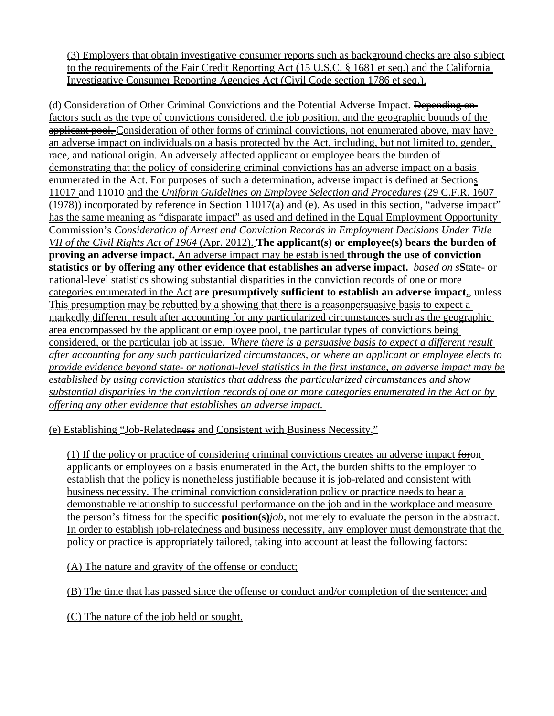(3) Employers that obtain investigative consumer reports such as background checks are also subject to the requirements of the Fair Credit Reporting Act (15 U.S.C. § 1681 et seq.) and the California Investigative Consumer Reporting Agencies Act (Civil Code section 1786 et seq.).

(d) Consideration of Other Criminal Convictions and the Potential Adverse Impact. <del>Depending on</del> factors such as the type of convictions considered, the job position, and the geographic bounds of the applicant pool, Consideration of other forms of criminal convictions, not enumerated above, may have an adverse impact on individuals on a basis protected by the Act, including, but not limited to, gender, race, and national origin. An adversely affected applicant or employee bears the burden of demonstrating that the policy of considering criminal convictions has an adverse impact on a basis enumerated in the Act. For purposes of such a determination, adverse impact is defined at Sections 11017 and 11010 and the *Uniform Guidelines on Employee Selection and Procedures* (29 C.F.R. 1607 (1978)) incorporated by reference in Section 11017(a) and (e). As used in this section, "adverse impact" has the same meaning as "disparate impact" as used and defined in the Equal Employment Opportunity Commission's *Consideration of Arrest and Conviction Records in Employment Decisions Under Title VII of the Civil Rights Act of 1964* (Apr. 2012). **The applicant(s) or employee(s) bears the burden of proving an adverse impact.** An adverse impact may be established **through the use of conviction statistics or by offering any other evidence that establishes an adverse impact.** *based on s***S**tate- or national-level statistics showing substantial disparities in the conviction records of one or more categories enumerated in the Act **are presumptively sufficient to establish an adverse impact.**, unless This presumption may be rebutted by a showing that there is a reasonpersuasive basis to expect a markedly different result after accounting for any particularized circumstances such as the geographic area encompassed by the applicant or employee pool, the particular types of convictions being considered, or the particular job at issue. *Where there is a persuasive basis to expect a different result after accounting for any such particularized circumstances, or where an applicant or employee elects to provide evidence beyond state- or national-level statistics in the first instance, an adverse impact may be established by using conviction statistics that address the particularized circumstances and show substantial disparities in the conviction records of one or more categories enumerated in the Act or by offering any other evidence that establishes an adverse impact.* 

(e) Establishing "Job-Relatedness and Consistent with Business Necessity."

(1) If the policy or practice of considering criminal convictions creates an adverse impact  $\frac{f^2}{f^2}$ applicants or employees on a basis enumerated in the Act, the burden shifts to the employer to establish that the policy is nonetheless justifiable because it is job-related and consistent with business necessity. The criminal conviction consideration policy or practice needs to bear a demonstrable relationship to successful performance on the job and in the workplace and measure the person's fitness for the specific **position(s)***job*, not merely to evaluate the person in the abstract. In order to establish job-relatedness and business necessity, any employer must demonstrate that the policy or practice is appropriately tailored, taking into account at least the following factors:

(A) The nature and gravity of the offense or conduct;

(B) The time that has passed since the offense or conduct and/or completion of the sentence; and

(C) The nature of the job held or sought.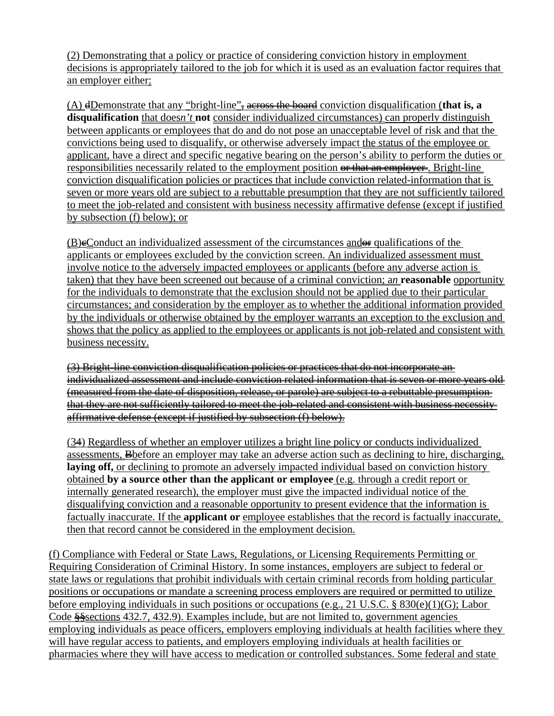(2) Demonstrating that a policy or practice of considering conviction history in employment decisions is appropriately tailored to the job for which it is used as an evaluation factor requires that an employer either:

(A) dDemonstrate that any "bright-line", across the board conviction disqualification (**that is, a disqualification** that does*n't* **not** consider individualized circumstances) can properly distinguish between applicants or employees that do and do not pose an unacceptable level of risk and that the convictions being used to disqualify, or otherwise adversely impact the status of the employee or applicant, have a direct and specific negative bearing on the person's ability to perform the duties or responsibilities necessarily related to the employment position or that an employer. Bright-line conviction disqualification policies or practices that include conviction related-information that is seven or more years old are subject to a rebuttable presumption that they are not sufficiently tailored to meet the job-related and consistent with business necessity affirmative defense (except if justified by subsection (f) below); or

 $(B)$ eConduct an individualized assessment of the circumstances and  $\theta$  qualifications of the applicants or employees excluded by the conviction screen. An individualized assessment must involve notice to the adversely impacted employees or applicants (before any adverse action is taken) that they have been screened out because of a criminal conviction; a*n* **reasonable** opportunity for the individuals to demonstrate that the exclusion should not be applied due to their particular circumstances; and consideration by the employer as to whether the additional information provided by the individuals or otherwise obtained by the employer warrants an exception to the exclusion and shows that the policy as applied to the employees or applicants is not job-related and consistent with business necessity.

(3) Bright-line conviction disqualification policies or practices that do not incorporate an individualized assessment and include conviction related information that is seven or more years old (measured from the date of disposition, release, or parole) are subject to a rebuttable presumption that they are not sufficiently tailored to meet the job-related and consistent with business necessity affirmative defense (except if justified by subsection (f) below).

(34) Regardless of whether an employer utilizes a bright line policy or conducts individualized assessments, Bbefore an employer may take an adverse action such as declining to hire, discharging, **laying off,** or declining to promote an adversely impacted individual based on conviction history obtained **by a source other than the applicant or employee** (e.g. through a credit report or internally generated research), the employer must give the impacted individual notice of the disqualifying conviction and a reasonable opportunity to present evidence that the information is factually inaccurate. If the **applicant or** employee establishes that the record is factually inaccurate, then that record cannot be considered in the employment decision.

(f) Compliance with Federal or State Laws, Regulations, or Licensing Requirements Permitting or Requiring Consideration of Criminal History. In some instances, employers are subject to federal or state laws or regulations that prohibit individuals with certain criminal records from holding particular positions or occupations or mandate a screening process employers are required or permitted to utilize before employing individuals in such positions or occupations (e.g., 21 U.S.C. § 830(e)(1)(G); Labor Code §§sections 432.7, 432.9). Examples include, but are not limited to, government agencies employing individuals as peace officers, employers employing individuals at health facilities where they will have regular access to patients, and employers employing individuals at health facilities or pharmacies where they will have access to medication or controlled substances. Some federal and state